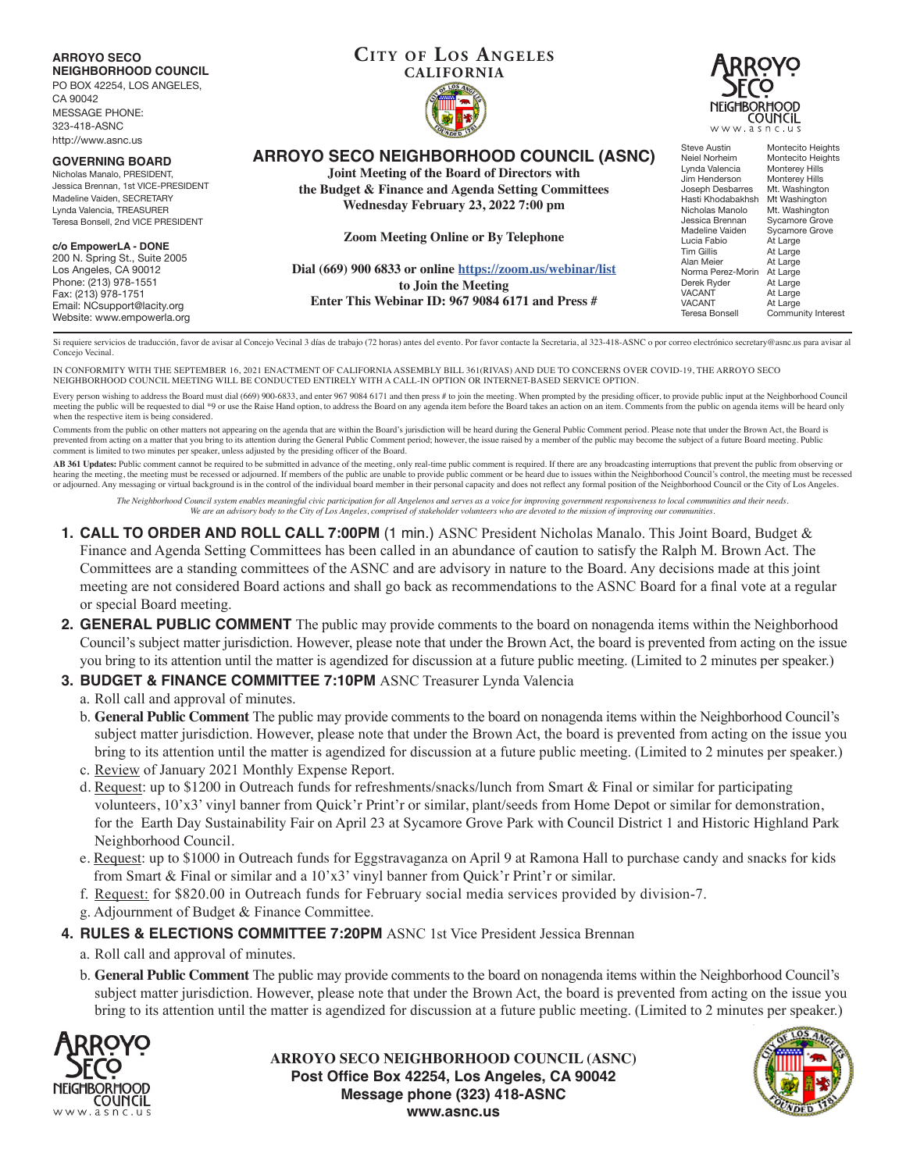**CITY OF LOS ANGELES ARROYO SECO NEIGHBORHOOD COUNCIL CALIFORNIA** PO BOX 42254, LOS ANGELES, CA 90042 RORĦOOD MESSAGE PHONE: COUNCIL 323-418-ASNC w.asnc http://www.asnc.us Steve Austin Montecito Heights<br>
Neiel Norheim Montecito Heights **ARROYO SECO NEIGHBORHOOD COUNCIL (ASNC)** Montecito Heights<br>Monterey Hills **GOVERNING BOARD** Lynda Valencia Monterey Hills<br>Jim Henderson Monterey Hills **Joint Meeting of the Board of Directors with** Nicholas Manalo, PRESIDENT, Jim Henderson<br>Joseph Desbarres Jessica Brennan, 1st VICE-PRESIDENT Mt. Washington<br>Mt Washington **the Budget & Finance and Agenda Setting Committees** Madeline Vaiden, SECRETARY Hasti Khodabakhsh<br>Nicholas Manolo **Wednesday February 23, 2022 7:00 pm** Lynda Valencia, TREASURER Nicholas Manolo Mt. Washington<br>Jessica Brennan Sycamore Grove Teresa Bonsell, 2nd VICE PRESIDENT Sycamore Grove<br>Sycamore Grove Madeline Vaiden<br>Lucia Fabio **Zoom Meeting Online or By Telephone** Lucia Fabio At Large<br>Tim Gillis At Large **c/o EmpowerLA - DONE** At Large<br>At Large 200 N. Spring St., Suite 2005 Alan Meier<br>Norma Perez-Morin At Large Los Angeles, CA 90012 **Dial (669) 900 6833 or online https://zoom.us/webinar/list** Norma Perez-Morin<br>Derek Ryder Phone: (213) 978-1551 Derek Ryder At Large **to Join the Meeting** VACANT At Large<br>VACANT At Large Fax: (213) 978-1751 **Enter This Webinar ID: 967 9084 6171 and Press #** Email: NCsupport@lacity.org VACANT At Large<br>Teresa Bonsell Commun Community Interest Website: www.empowerla.org

Si requiere servicios de traducción, favor de avisar al Concejo Vecinal 3 días de trabajo (72 horas) antes del evento. Por favor contacte la Secretaria, al 323-418-ASNC o por correo electrónico secretary@asnc.us para avisa Concejo Vecinal.

IN CONFORMITY WITH THE SEPTEMBER 16, 2021 ENACTMENT OF CALIFORNIA ASSEMBLY BILL 361(RIVAS) AND DUE TO CONCERNS OVER COVID-19, THE ARROYO SECO NEIGHBORHOOD COUNCIL MEETING WILL BE CONDUCTED ENTIRELY WITH A CALL-IN OPTION OR INTERNET-BASED SERVICE OPTION.

Every person wishing to address the Board must dial (669) 900-6833, and enter 967 9084 6171 and then press # to join the meeting. When prompted by the presiding officer, to provide public input at the Neighborhood Council meeting the public will be requested to dial \*9 or use the Raise Hand option, to address the Board on any agenda item before the Board takes an action on an item. Comments from the public on agenda items will be heard only when the respective item is being considered.

Comments from the public on other matters not appearing on the agenda that are within the Board's jurisdiction will be heard during the General Public Comment period. Please note that under the Brown Act, the Board is prevented from acting on a matter that you bring to its attention during the General Public Comment period; however, the issue raised by a member of the public may become the subject of a future Board meeting. Public comment is limited to two minutes per speaker, unless adjusted by the presiding officer of the Board.

AB 361 Updates: Public comment cannot be required to be submitted in advance of the meeting, only real-time public comment is required. If there are any broadcasting interruptions that prevent the public from observing or hearing the meeting, the meeting must be recessed or adjourned. If members of the public are unable to provide public comment or be heard due to issues within the Neighborhood Council's control, the meeting must be recesse or adjourned. Any messaging or virtual background is in the control of the individual board member in their personal capacity and does not reflect any formal position of the Neighborhood Council or the City of Los Angeles.

The Neighborhood Council system enables meaningful civic participation for all Angelenos and serves as a voice for improving government responsiveness to local communities and their needs.<br>We are an advisory body to the Ci

- **1. CALL TO ORDER AND ROLL CALL 7:00PM** (1 min.) ASNC President Nicholas Manalo. This Joint Board, Budget & Finance and Agenda Setting Committees has been called in an abundance of caution to satisfy the Ralph M. Brown Act. The Committees are a standing committees of the ASNC and are advisory in nature to the Board. Any decisions made at this joint meeting are not considered Board actions and shall go back as recommendations to the ASNC Board for a final vote at a regular or special Board meeting.
- **2. GENERAL PUBLIC COMMENT** The public may provide comments to the board on nonagenda items within the Neighborhood Council's subject matter jurisdiction. However, please note that under the Brown Act, the board is prevented from acting on the issue you bring to its attention until the matter is agendized for discussion at a future public meeting. (Limited to 2 minutes per speaker.)

### **3. BUDGET & FINANCE COMMITTEE 7:10PM** ASNC Treasurer Lynda Valencia

a. Roll call and approval of minutes.

- b. **General Public Comment** The public may provide comments to the board on nonagenda items within the Neighborhood Council's subject matter jurisdiction. However, please note that under the Brown Act, the board is prevented from acting on the issue you bring to its attention until the matter is agendized for discussion at a future public meeting. (Limited to 2 minutes per speaker.)
- c. Review of January 2021 Monthly Expense Report.
- d. Request: up to \$1200 in Outreach funds for refreshments/snacks/lunch from Smart & Final or similar for participating volunteers, 10'x3' vinyl banner from Quick'r Print'r or similar, plant/seeds from Home Depot or similar for demonstration, for the Earth Day Sustainability Fair on April 23 at Sycamore Grove Park with Council District 1 and Historic Highland Park Neighborhood Council.
- e. Request: up to \$1000 in Outreach funds for Eggstravaganza on April 9 at Ramona Hall to purchase candy and snacks for kids from Smart & Final or similar and a 10'x3' vinyl banner from Quick'r Print'r or similar.
- f. Request: for \$820.00 in Outreach funds for February social media services provided by division-7.
- g. Adjournment of Budget & Finance Committee.

#### **4. RULES & ELECTIONS COMMITTEE 7:20PM** ASNC 1st Vice President Jessica Brennan

- a. Roll call and approval of minutes.
- b. **General Public Comment** The public may provide comments to the board on nonagenda items within the Neighborhood Council's subject matter jurisdiction. However, please note that under the Brown Act, the board is prevented from acting on the issue you bring to its attention until the matter is agendized for discussion at a future public meeting. (Limited to 2 minutes per speaker.)



**ARROYO SECO NEIGHBORHOOD COUNCIL (ASNC) Post Office Box 42254, Los Angeles, CA 90042 Message phone (323) 418-ASNC www.asnc.us**

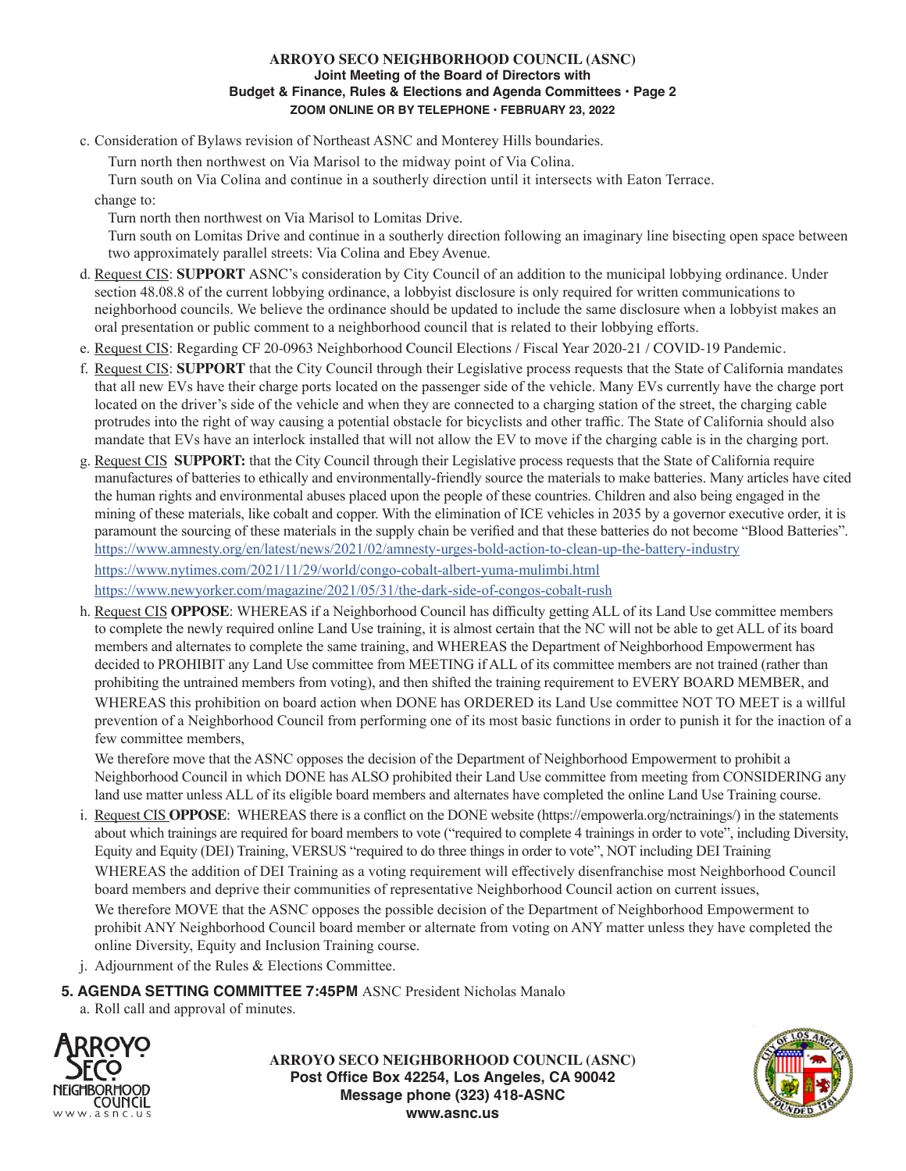### **ARROYO SECO NEIGHBORHOOD COUNCIL (ASNC) Joint Meeting of the Board of Directors with Budget & Finance, Rules & Elections and Agenda Committees • Page 2 ZOOM ONLINE OR BY TELEPHONE • FEBRUARY 23, 2022**

c. Consideration of Bylaws revision of Northeast ASNC and Monterey Hills boundaries.

Turn north then northwest on Via Marisol to the midway point of Via Colina.

Turn south on Via Colina and continue in a southerly direction until it intersects with Eaton Terrace.

change to:

Turn north then northwest on Via Marisol to Lomitas Drive.

Turn south on Lomitas Drive and continue in a southerly direction following an imaginary line bisecting open space between two approximately parallel streets: Via Colina and Ebey Avenue.

- d. Request CIS: **SUPPORT** ASNC's consideration by City Council of an addition to the municipal lobbying ordinance. Under section 48.08.8 of the current lobbying ordinance, a lobbyist disclosure is only required for written communications to neighborhood councils. We believe the ordinance should be updated to include the same disclosure when a lobbyist makes an oral presentation or public comment to a neighborhood council that is related to their lobbying efforts.
- e. Request CIS: Regarding CF 20-0963 Neighborhood Council Elections / Fiscal Year 2020-21 / COVID-19 Pandemic.
- f. Request CIS: **SUPPORT** that the City Council through their Legislative process requests that the State of California mandates that all new EVs have their charge ports located on the passenger side of the vehicle. Many EVs currently have the charge port located on the driver's side of the vehicle and when they are connected to a charging station of the street, the charging cable protrudes into the right of way causing a potential obstacle for bicyclists and other traffic. The State of California should also mandate that EVs have an interlock installed that will not allow the EV to move if the charging cable is in the charging port.
- g. Request CIS **SUPPORT:** that the City Council through their Legislative process requests that the State of California require manufactures of batteries to ethically and environmentally-friendly source the materials to make batteries. Many articles have cited the human rights and environmental abuses placed upon the people of these countries. Children and also being engaged in the mining of these materials, like cobalt and copper. With the elimination of ICE vehicles in 2035 by a governor executive order, it is paramount the sourcing of these materials in the supply chain be verified and that these batteries do not become "Blood Batteries". https://www.amnesty.org/en/latest/news/2021/02/amnesty-urges-bold-action-to-clean-up-the-battery-industry https://www.nytimes.com/2021/11/29/world/congo-cobalt-albert-yuma-mulimbi.html https://www.newyorker.com/magazine/2021/05/31/the-dark-side-of-congos-cobalt-rush
- h. Request CIS **OPPOSE**: WHEREAS if a Neighborhood Council has difficulty getting ALL of its Land Use committee members to complete the newly required online Land Use training, it is almost certain that the NC will not be able to get ALL of its board members and alternates to complete the same training, and WHEREAS the Department of Neighborhood Empowerment has decided to PROHIBIT any Land Use committee from MEETING if ALL of its committee members are not trained (rather than prohibiting the untrained members from voting), and then shifted the training requirement to EVERY BOARD MEMBER, and WHEREAS this prohibition on board action when DONE has ORDERED its Land Use committee NOT TO MEET is a willful prevention of a Neighborhood Council from performing one of its most basic functions in order to punish it for the inaction of a few committee members,

We therefore move that the ASNC opposes the decision of the Department of Neighborhood Empowerment to prohibit a Neighborhood Council in which DONE has ALSO prohibited their Land Use committee from meeting from CONSIDERING any land use matter unless ALL of its eligible board members and alternates have completed the online Land Use Training course.

i. Request CIS **OPPOSE**: WHEREAS there is a conflict on the DONE website (https://empowerla.org/nctrainings/) in the statements about which trainings are required for board members to vote ("required to complete 4 trainings in order to vote", including Diversity, Equity and Equity (DEI) Training, VERSUS "required to do three things in order to vote", NOT including DEI Training WHEREAS the addition of DEI Training as a voting requirement will effectively disenfranchise most Neighborhood Council board members and deprive their communities of representative Neighborhood Council action on current issues,

 We therefore MOVE that the ASNC opposes the possible decision of the Department of Neighborhood Empowerment to prohibit ANY Neighborhood Council board member or alternate from voting on ANY matter unless they have completed the online Diversity, Equity and Inclusion Training course.

j. Adjournment of the Rules & Elections Committee.

# **5. AGENDA SETTING COMMITTEE 7:45PM** ASNC President Nicholas Manalo

a. Roll call and approval of minutes.



**ARROYO SECO NEIGHBORHOOD COUNCIL (ASNC) Post Office Box 42254, Los Angeles, CA 90042 Message phone (323) 418-ASNC www.asnc.us**